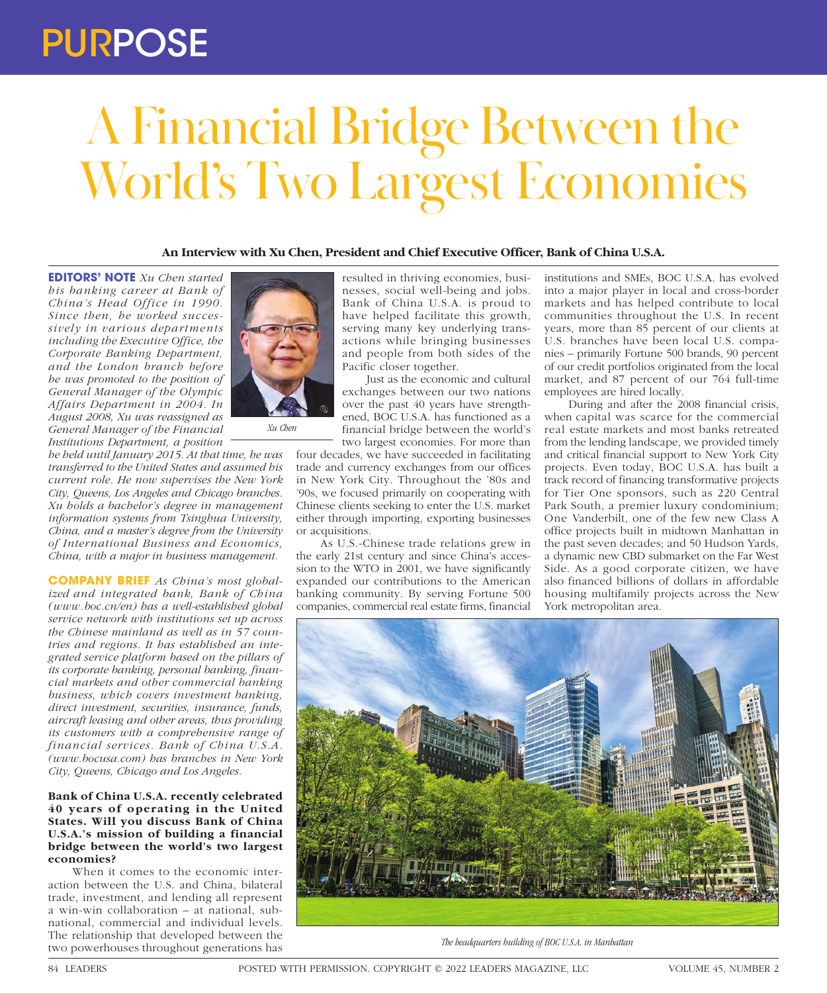## PURPOSE

# A Financial Bridge Between the World's Two Largest Economies

### **An Interview with Xu Chen, President and Chief Executive Officer, Bank of China U.S.A.**

**EDITORS' NOTE** *Xu Chen started his banking career at Bank of China's Head Office in 1990. Since then, he worked successively in various departments including the Executive Office, the Corporate Banking Department, and the London branch before he was promoted to the position of General Manager of the Olympic Affairs Department in 2004. In August 2008, Xu was reassigned as General Manager of the Financial Institutions Department, a position* 

*he held until January 2015. At that time, he was transferred to the United States and assumed his current role. He now supervises the New York City, Queens, Los Angeles and Chicago branches. Xu holds a bachelor's degree in management information systems from Tsinghua University, China, and a master's degree from the University of International Business and Economics, China, with a major in business management.*

**COMPANY BRIEF** *As China's most globalized and integrated bank, Bank of China (www.boc.cn/en) has a well-established global service network with institutions set up across the Chinese mainland as well as in 57 countries and regions. It has established an integrated service platform based on the pillars of its corporate banking, personal banking, financial markets and other commercial banking business, which covers investment banking, direct investment, securities, insurance, funds, aircraft leasing and other areas, thus providing its customers with a comprehensive range of financial services. Bank of China U.S.A. (www.bocusa.com) has branches in New York City, Queens, Chicago and Los Angeles.*

#### **Bank of China U.S.A. recently celebrated 40 years of operating in the United States. Will you discuss Bank of China U.S.A.'s mission of building a financial bridge between the world's two largest economies?**

When it comes to the economic interaction between the U.S. and China, bilateral trade, investment, and lending all represent a win-win collaboration – at national, subnational, commercial and individual levels. The relationship that developed between the two powerhouses throughout generations has



*Xu Chen*

resulted in thriving economies, businesses, social well-being and jobs. Bank of China U.S.A. is proud to have helped facilitate this growth, serving many key underlying transactions while bringing businesses and people from both sides of the Pacific closer together.

Just as the economic and cultural exchanges between our two nations over the past 40 years have strengthened, BOC U.S.A. has functioned as a financial bridge between the world's two largest economies. For more than

four decades, we have succeeded in facilitating trade and currency exchanges from our offices in New York City. Throughout the '80s and '90s, we focused primarily on cooperating with Chinese clients seeking to enter the U.S. market either through importing, exporting businesses or acquisitions.

As U.S.-Chinese trade relations grew in the early 21st century and since China's accession to the WTO in 2001, we have significantly expanded our contributions to the American banking community. By serving Fortune 500 companies, commercial real estate firms, financial

institutions and SMEs, BOC U.S.A. has evolved into a major player in local and cross-border markets and has helped contribute to local communities throughout the U.S. In recent years, more than 85 percent of our clients at U.S. branches have been local U.S. companies – primarily Fortune 500 brands, 90 percent of our credit portfolios originated from the local market, and 87 percent of our 764 full-time employees are hired locally.

During and after the 2008 financial crisis, when capital was scarce for the commercial real estate markets and most banks retreated from the lending landscape, we provided timely and critical financial support to New York City projects. Even today, BOC U.S.A. has built a track record of financing transformative projects for Tier One sponsors, such as 220 Central Park South, a premier luxury condominium; One Vanderbilt, one of the few new Class A office projects built in midtown Manhattan in the past seven decades; and 50 Hudson Yards, a dynamic new CBD submarket on the Far West Side. As a good corporate citizen, we have also financed billions of dollars in affordable housing multifamily projects across the New York metropolitan area.



*The headquarters building of BOC U.S.A. in Manhattan*